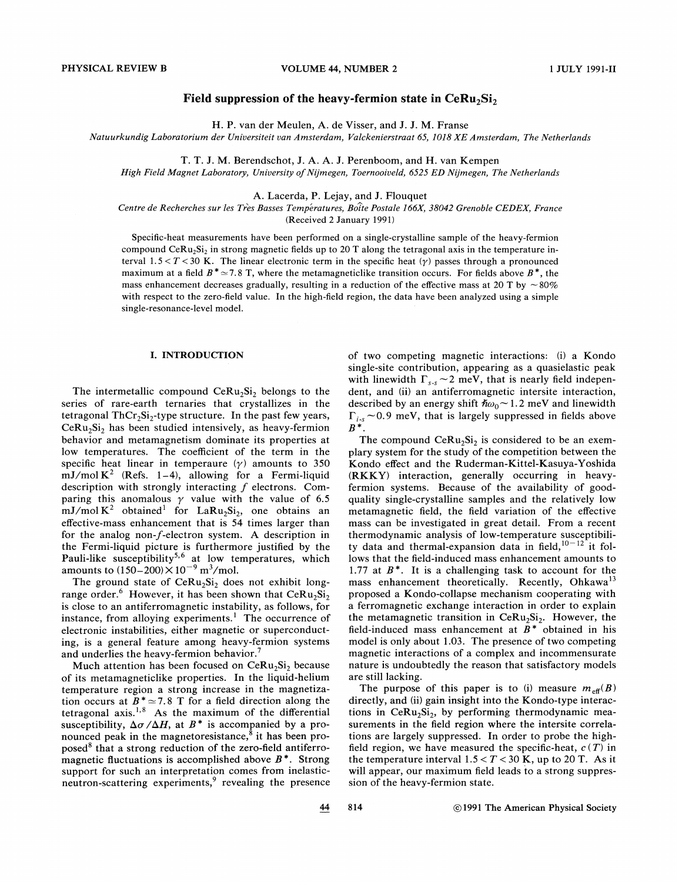# Field suppression of the heavy-fermion state in  $Ceku_2Si_2$

H. P. van der Meulen, A. de Visser, and J.J. M. Franse

Natuurkundig Laboratorium der Universiteit van Amsterdam, Valckenierstraat 65, 1018 XE Amsterdam, The Netherlands

T. T.J. M. Berendschot, J. A. A. J. Perenboom, and H. van Kempen

High Field Magnet Laboratory, University of Nijmegen, Toernooiveld, 6525 ED Nijmegen, The Netherlands

A. Lacerda, P. Lejay, and J. Flouquet

Centre de Recherches sur les Tres Basses Temperatures, Boite Postale 166X, 38042 Grenoble CEDEX, France (Received 2 January 1991)

Specific-heat measurements have been performed on a single-crystalline sample of the heavy-fermion compound CeRu<sub>2</sub>Si<sub>2</sub> in strong magnetic fields up to 20 T along the tetragonal axis in the temperature interval  $1.5 < T < 30$  K. The linear electronic term in the specific heat  $(\gamma)$  passes through a pronounced maximum at a field  $B^* \approx 7.8$  T, where the metamagneticlike transition occurs. For fields above  $B^*$ , the mass enhancement decreases gradually, resulting in a reduction of the effective mass at 20 T by  $\sim$ 80% with respect to the zero-field value. In the high-field region, the data have been analyzed using a simple single-resonance-level model.

#### I. INTRODUCTION

The intermetallic compound  $Cer(u_2Si_2)$  belongs to the series of rare-earth ternaries that crystallizes in the tetragonal  $ThCr<sub>2</sub>Si<sub>2</sub>$ -type structure. In the past few years,  $CeRu<sub>2</sub>Si<sub>2</sub>$  has been studied intensively, as heavy-fermion behavior and metamagnetism dominate its properties at low temperatures. The coefficient of the term in the specific heat linear in temperaure  $(\gamma)$  amounts to 350 mJ/mol  $K^2$  (Refs. 1–4), allowing for a Fermi-liquid description with strongly interacting  $f$  electrons. Comparing this anomalous  $\gamma$  value with the value of 6.5  $mJ/mol K<sup>2</sup> obtained<sup>1</sup>$  for LaRu<sub>2</sub>Si<sub>2</sub>, one obtains an effective-mass enhancement that is 54 times larger than for the analog non-f-electron system. A description in the Fermi-liquid picture is furthermore justified by the Pauli-like susceptibility<sup>5,6</sup> at low temperatures, which amounts to  $(150-200) \times 10^{-9}$  m<sup>3</sup>/mol.

The ground state of  $Cer(u_2Si_2)$  does not exhibit longrange order.<sup>6</sup> However, it has been shown that  $Cer(u_2Si_2)$ is close to an antiferromagnetic instability, as follows, for instance, from alloying experiments.<sup>1</sup> The occurrence of electronic instabilities, either magnetic or superconducting, is a general feature among heavy-fermion systems and underlies the heavy-fermion behavior.<sup>7</sup>

Much attention has been focused on  $CeRu<sub>2</sub>Si<sub>2</sub>$  because of its metamagneticlike properties. In the liquid-helium temperature region a strong increase in the magnetization occurs at  $B^* \approx 7.8$  T for a field direction along the tetragonal axis. '<sup>8</sup> As the maximum of the differentia susceptibility,  $\Delta \sigma / \Delta H$ , at  $B^*$  is accompanied by a pronounced peak in the magnetoresistance, $8$  it has been proposed $8$  that a strong reduction of the zero-field antiferromagnetic fluctuations is accomplished above  $B^*$ . Strong support for such an interpretation comes from inelasticneutron-scattering experiments, $9$  revealing the presence of two competing magnetic interactions: (i) a Kondo single-site contribution, appearing as a quasielastic peak with linewidth  $\Gamma_{s,s} \sim 2$  meV, that is nearly field independent, and (ii) an antiferromagnetic intersite interaction, described by an energy shift  $\hbar \omega_0$  ~ 1.2 meV and linewidth  $\Gamma_{i-s}$  ~0.9 meV, that is largely suppressed in fields above  $B^*$ .

The compound  $CeRu<sub>2</sub>Si<sub>2</sub>$  is considered to be an exemplary system for the study of the competition between the Kondo effect and the Ruderman-Kittel-Kasuya- Yoshida (RKKY) interaction, generally occurring in heavyfermion systems. Because of the availability of goodquality single-crystalline samples and the relatively low metamagnetic field, the field variation of the effective mass can be investigated in great detail. From a recent thermodynamic analysis of low-temperature susceptibiliy data and thermal-expansion data in field,  $10^{-12}$  it follows that the field-induced mass enhancement amounts to 1.77 at  $B^*$ . It is a challenging task to account for the mass enhancement theoretically. Recently, Ohkawa<sup>13</sup> proposed a Kondo-collapse mechanism cooperating with a ferromagnetic exchange interaction in order to explain the metamagnetic transition in  $CeRu<sub>2</sub>Si<sub>2</sub>$ . However, the field-induced mass enhancement at  $\overline{B}^*$  obtained in his model is only about 1.03. The presence of two competing magnetic interactions of a complex and incommensurate nature is undoubtedly the reason that satisfactory models are still lacking.

The purpose of this paper is to (i) measure  $m_{\text{eff}}(B)$ directly, and (ii) gain insight into the Kondo-type interactions in  $CeRu<sub>2</sub>Si<sub>2</sub>$ , by performing thermodynamic measurements in the field region where the intersite correlations are largely suppressed. In order to probe the highfield region, we have measured the specific-heat,  $c(T)$  in the temperature interval  $1.5 < T < 30$  K, up to 20 T. As it will appear, our maximum field leads to a strong suppression of the heavy-fermion state.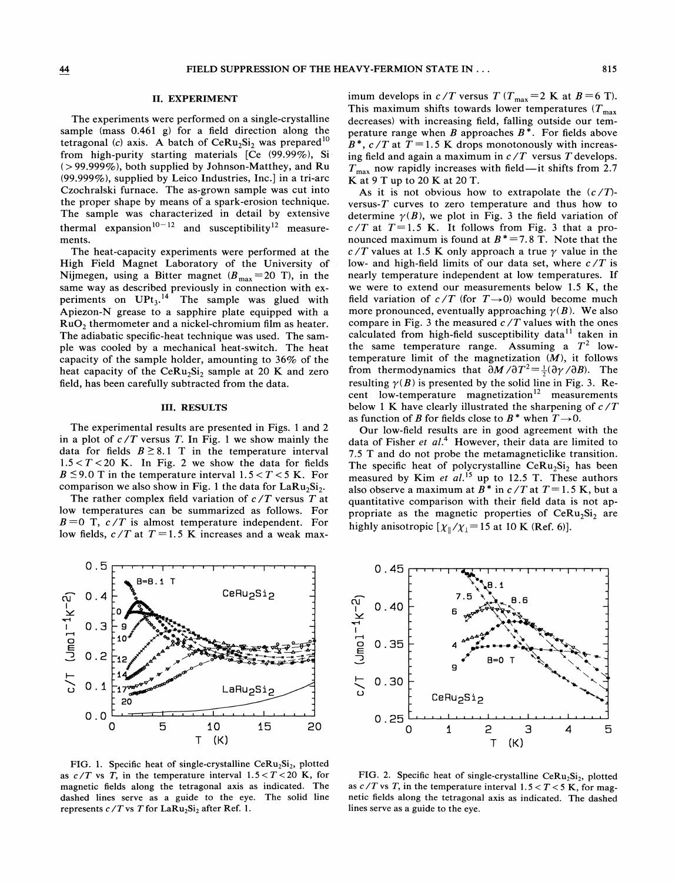## II. EXPERIMENT

The experiments were performed on a single-crystalline sample (mass 0.461 g) for a field direction along the tetragonal (c) axis. A batch of  $CeRu<sub>2</sub>Si<sub>2</sub>$  was prepared<sup>10</sup> from high-purity starting materials [Ce (99.99%), Si  $(> 99.999\%)$ , both supplied by Johnson-Matthey, and Ru (99.999%), supplied by Leico Industries, Inc.] in a tri-arc Czochralski furnace. The as-grown sample was cut into the proper shape by means of a spark-erosion technique. The sample was characterized in detail by extensive thermal expansion<sup>10-12</sup> and susceptibility<sup>12</sup> measure ments.

The heat-capacity experiments were performed at the High Field Magnet Laboratory of the University of Nijmegen, using a Bitter magnet  $(B_{\text{max}}=20 \text{ T})$ , in the same way as described previously in connection with experiments on  $UPt_3$ .<sup>14</sup> The sample was glued with Apiezon-N grease to a sapphire plate equipped with a RuO<sub>2</sub> thermometer and a nickel-chromium film as heater. The adiabatic specific-heat technique was used. The sample was cooled by a mechanical heat-switch. The heat capacity of the sample holder, amounting to 36% of the heat capacity of the CeRu<sub>2</sub>Si<sub>2</sub> sample at 20 K and zero field, has been carefully subtracted from the data.

# III. RESULTS

The experimental results are presented in Figs. <sup>1</sup> and 2 in a plot of  $c/T$  versus T. In Fig. 1 we show mainly the data for fields  $B \geq 8.1$  T in the temperature interval  $1.5 < T < 20$  K. In Fig. 2 we show the data for fields  $B \le 9.0$  T in the temperature interval 1.5 < T < 5 K. For comparison we also show in Fig. 1 the data for  $LaRu<sub>2</sub>Si<sub>2</sub>$ .

The rather complex field variation of  $c/T$  versus T at low temperatures can be summarized as follows. For  $B=0$  T,  $c/T$  is almost temperature independent. For low fields,  $c/T$  at  $T=1.5$  K increases and a weak maximum develops in  $c/T$  versus  $T (T_{\text{max}} = 2 \text{ K at } B = 6 \text{ T}).$ This maximum shifts towards lower temperatures  $(T_{\text{max}})$ decreases) with increasing field, falling outside our temperature range when B approaches  $B^*$ . For fields above  $B^*$ ,  $c/T$  at  $T = 1.5$  K drops monotonously with increasing field and again a maximum in  $c/T$  versus T develops.  $T_{\text{max}}$  now rapidly increases with field—it shifts from 2.7 K at 9 T up to 20 K at 20 T.

As it is not obvious how to extrapolate the  $(c/T)$ versus- $T$  curves to zero temperature and thus how to determine  $\gamma(B)$ , we plot in Fig. 3 the field variation of  $c/T$  at  $T=1.5$  K. It follows from Fig. 3 that a pronounced maximum is found at  $B^* = 7.8$  T. Note that the  $c/T$  values at 1.5 K only approach a true  $\gamma$  value in the low- and high-field limits of our data set, where  $c/T$  is nearly temperature independent at low temperatures. If we were to extend our measurements below 1.5 K, the field variation of  $c/T$  (for  $T\rightarrow 0$ ) would become much more pronounced, eventually approaching  $\gamma(B)$ . We also compare in Fig. 3 the measured  $c/T$  values with the ones calculated from high-field susceptibility data $^{11}$  taken in the same temperature range. Assuming a  $T^2$  lowtemperature limit of the magnetization  $(M)$ , it follows from thermodynamics that  $\partial M/\partial T^2 = \frac{1}{2}(\partial \gamma/\partial B)$ . The resulting  $\gamma(B)$  is presented by the solid line in Fig. 3. Recent low-temperature magnetization<sup>12</sup> measurements below 1 K have clearly illustrated the sharpening of  $c/T$ as function of B for fields close to  $B^*$  when  $T\rightarrow 0$ .

Our low-field results are in good agreement with the data of Fisher et  $al$ <sup>4</sup>. However, their data are limited to 7.5 T and do not probe the metamagneticlike transition. The specific heat of polycrystalline  $CeRu<sub>2</sub>Si<sub>2</sub>$  has been measured by Kim et  $al$ .<sup>15</sup> up to 12.5 T. These authors denote by Kin et al. up to 12.5 1. These authors also observe a maximum at  $B^*$  in  $c/T$  at  $T=1.5$  K, but a quantitative comparison with their field data is not appropriate as the magnetic properties of  $CeRu<sub>2</sub>Si<sub>2</sub>$  are highly anisotropic  $[\chi_{\parallel}/\chi_{\perp} = 15$  at 10 K (Ref. 6)].



FIG. 1. Specific heat of single-crystalline  $CeRu<sub>2</sub>Si<sub>2</sub>$ , plotted as  $c/T$  vs T, in the temperature interval  $1.5 < T < 20$  K, for magnetic fields along the tetragonal axis as indicated. The dashed lines serve as a guide to the eye. The solid line represents  $c/T$  vs T for LaRu<sub>2</sub>Si<sub>2</sub> after Ref. 1.



FIG. 2. Specific heat of single-crystalline  $CeRu<sub>2</sub>Si<sub>2</sub>$ , plotted as  $c/T$  vs T, in the temperature interval  $1.5 < T < 5$  K, for magnetic fields along the tetragonal axis as indicated. The dashed lines serve as a guide to the eye.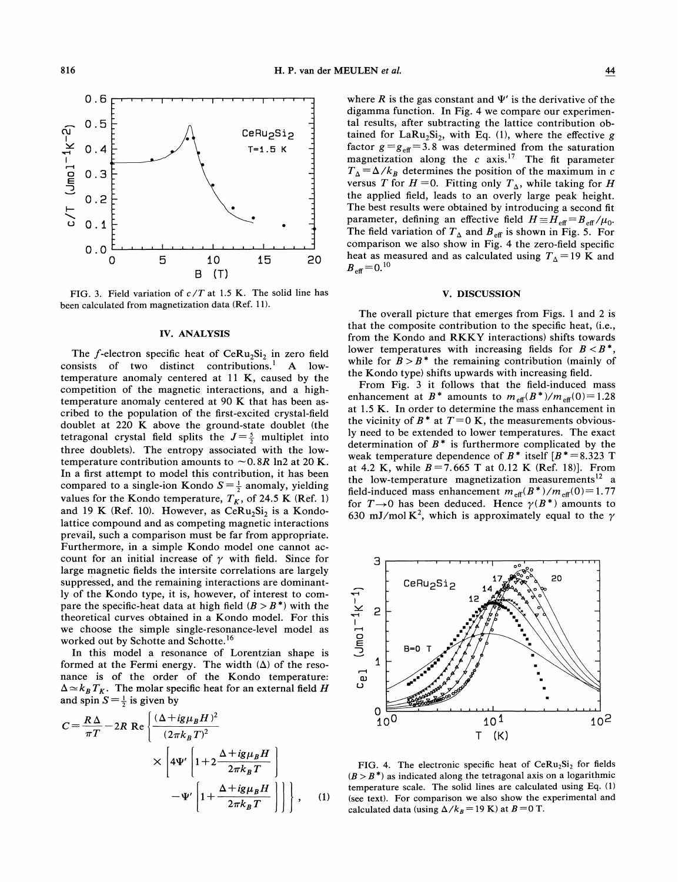

FIG. 3. Field variation of  $c/T$  at 1.5 K. The solid line has been calculated from magnetization data (Ref. 11).

### IU. ANALYSIS

The f-electron specific heat of  $CeRu<sub>2</sub>Si<sub>2</sub>$  in zero field consists of two distinct contributions.<sup>1</sup> A lowtemperature anomaly centered at 11 K, caused by the competition of the magnetic interactions, and a hightemperature anomaly centered at 90 K that has been ascribed to the population of the first-excited crystal-field doublet at 220 K above the ground-state doublet (the 'doublet at 220 K above the ground-state doublet (the determined the  $J=\frac{5}{2}$  multiplet into three doublets). The entropy associated with the lowtemperature contribution amounts to  $\sim 0.8R$  ln2 at 20 K. In a first attempt to model this contribution, it has been compared to a single-ion Kondo  $S = \frac{1}{2}$  anomaly, yielding values for the Kondo temperature,  $T_K$ , of 24.5 K (Ref. 1) and 19 K (Ref. 10). However, as  $CeRu<sub>2</sub>Si<sub>2</sub>$  is a Kondolattice compound and as competing magnetic interactions prevail, such a comparison must be far from appropriate. Furthermore, in a simple Kondo model one cannot account for an initial increase of  $\gamma$  with field. Since for large magnetic fields the intersite correlations are largely suppressed, and the remaining interactions are dominantly of the Kondo type, it is, however, of interest to compare the specific-heat data at high field  $(B > B^*)$  with the theoretical curves obtained in a Kondo model. For this we choose the simple single-resonance-level model as worked out by Schotte and Schotte.<sup>16</sup>

In this model a resonance of Lorentzian shape is formed at the Fermi energy. The width  $(\Delta)$  of the resonance is of the order of the Kondo temperature:  $\Delta \simeq k_B T_K$ . The molar specific heat for an external field H and spin  $S=\frac{1}{2}$  is given by

$$
C = \frac{R\Delta}{\pi T} - 2R \text{ Re } \left\{ \frac{(\Delta + ig\mu_B H)^2}{(2\pi k_B T)^2} \times \left[ 4\Psi' \left[ 1 + 2\frac{\Delta + ig\mu_B H}{2\pi k_B T} \right] - \Psi' \left[ 1 + \frac{\Delta + ig\mu_B H}{2\pi k_B T} \right] \right] \right\}, \quad (1)
$$

where R is the gas constant and  $\Psi'$  is the derivative of the digamma function. In Fig. 4 we compare our experimental results, after subtracting the lattice contribution obtained for  $LaRu<sub>2</sub>Si<sub>2</sub>$ , with Eq. (1), where the effective g factor  $g = g_{\text{eff}} = 3.8$  was determined from the saturation magnetization along the  $c$  axis.<sup>17</sup> The fit parameter  $T_{\Delta} = \Delta/k_B$  determines the position of the maximum in c versus T for  $H = 0$ . Fitting only  $T_A$ , while taking for H the applied field, leads to an overly large peak height. The best results were obtained by introducing a second fit parameter, defining an effective field  $H \equiv H_{\text{eff}} = B_{\text{eff}}/\mu_0$ . The field variation of  $T_{\Delta}$  and  $B_{\text{eff}}$  is shown in Fig. 5. For comparison we also show in Fig. 4 the zero-field specific heat as measured and as calculated using  $T_A = 19$  K and  $_{\text{eff}}$  = 0.<sup>10</sup>

## V. DISCUSSION

The overall picture that emerges from Figs. <sup>1</sup> and 2 is that the composite contribution to the specific heat, (i.e., from the Kondo and RKKY interactions) shifts towards lower temperatures with increasing fields for  $B < B^*$ , ower temperatures with increasing fields for  $B < B^*$ ,<br>while for  $B > B^*$  the remaining contribution (mainly of the Kondo type) shifts upwards with increasing field.

From Fig. 3 it follows that the field-induced mass enhancement at  $B^*$  amounts to  $m_{\text{eff}}(B^*)/m_{\text{eff}}(0)=1.28$ at 1.<sup>5</sup> K. In order to determine the mass enhancement in the vicinity of  $B^*$  at  $T=0$  K, the measurements obviously need to be extended to lower temperatures. The exact determination of  $B^*$  is furthermore complicated by the weak temperature dependence of  $B^*$  itself  $[B^* = 8.323$  T at 4.2 K, while  $B = 7.665$  T at 0.12 K (Ref. 18)]. From the low-temperature magnetization measurements<sup>12</sup> a field-induced mass enhancement  $m_{\text{eff}}(B^*)/m_{\text{eff}}(0)=1.77$ for  $T\rightarrow 0$  has been deduced. Hence  $\gamma(B^*)/m_{\text{eff}}(0) = 1.77$ <br>for  $T\rightarrow 0$  has been deduced. Hence  $\gamma(B^*)$  amounts to 630 mJ/mol K<sup>2</sup>, which is approximately equal to the  $\gamma$ 



FIG. 4. The electronic specific heat of  $Cer Ru<sub>2</sub>Si<sub>2</sub>$  for fields  $(B > B^*)$  as indicated along the tetragonal axis on a logarithmic temperature scale. The solid lines are calculated using Eq. (1) (see text). For comparison we also show the experimental and calculated data (using  $\Delta/k_B$  = 19 K) at  $B$  = 0 T.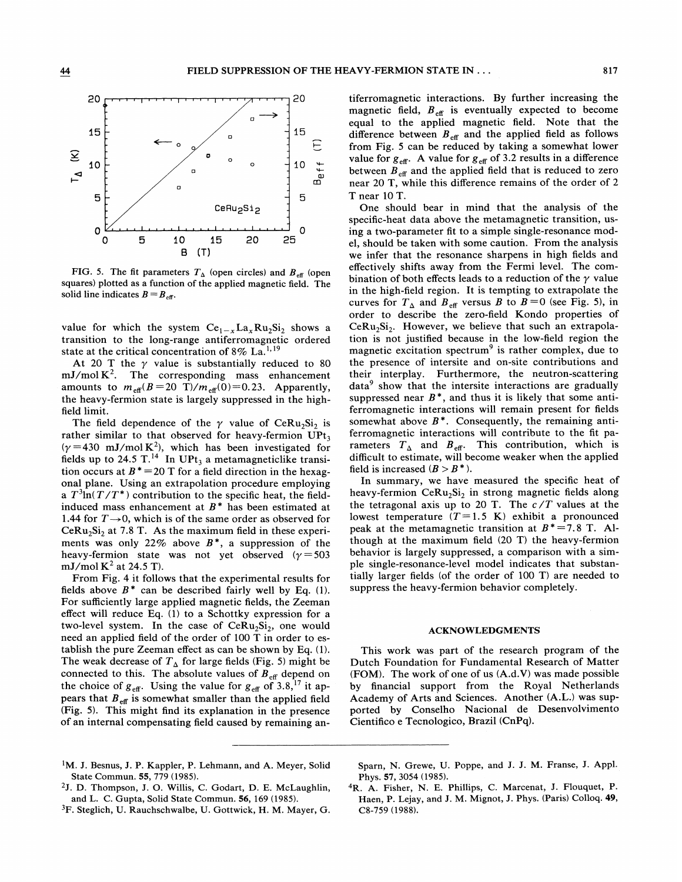

FIG. 5. The fit parameters  $T_{\Delta}$  (open circles) and  $B_{\text{eff}}$  (open squares) plotted as a function of the applied magnetic field. The solid line indicates  $B=B_{\text{eff}}$ .

value for which the system  $Ce_{1-x}La_xRu_2Si_2$  shows a transition to the long-range antiferromagnetic ordered value for which the system  $Ce_{1-x}La_xRu_2St$ <br>transition to the long-range antiferromagnet<br>state at the critical concentration of 8% La.<sup>1,19</sup>

At 20 T the  $\gamma$  value is substantially reduced to 80  $mJ/mol K<sup>2</sup>$ . The corresponding mass enhancement amounts to  $m_{\text{eff}}(B=20 \text{ T})/m_{\text{eff}}(0)=0.23$ . Apparently, the heavy-fermion state is largely suppressed in the highfield limit.

The field dependence of the  $\gamma$  value of CeRu<sub>2</sub>Si<sub>2</sub> is rather similar to that observed for heavy-fermion  $UPt<sub>3</sub>$  $(\gamma = 430 \text{ mJ/mol K}^2)$ , which has been investigated for fields up to 24.5 T.<sup>14</sup> In UPt<sub>3</sub> a metamagneticlike transition occurs at  $B^* = 20$  T for a field direction in the hexagonal plane. Using an extrapolation procedure employing a  $T^3 \ln(T/T^*)$  contribution to the specific heat, the fieldinduced mass enhancement at  $B^*$  has been estimated at 1.44 for  $T \rightarrow 0$ , which is of the same order as observed for  $Cer(u_2Si_2$  at 7.8 T. As the maximum field in these experiments was only 22% above  $B^*$ , a suppression of the heavy-fermion state was not yet observed ( $\gamma = 503$ mJ/mol  $K^2$  at 24.5 T).

From Fig. 4 it follows that the experimental results for fields above  $B^*$  can be described fairly well by Eq. (1). For sufficiently large applied magnetic fields, the Zeeman effect will reduce Eq. (1) to a Schottky expression for a two-level system. In the case of  $CeRu<sub>2</sub>Si<sub>2</sub>$ , one would need an applied field of the order of 100 T in order to establish the pure Zeeman effect as can be shown by Eq. (1). The weak decrease of  $T_{\Delta}$  for large fields (Fig. 5) might be connected to this. The absolute values of  $B_{\text{eff}}$  depend on the choice of  $g_{\text{eff}}$ . Using the value for  $g_{\text{eff}}$  of 3.8,<sup>17</sup> it appears that  $B_{\text{eff}}$  is somewhat smaller than the applied field (Fig. 5). This might find its explanation in the presence of an internal compensating field caused by remaining antiferromagnetic interactions. By further increasing the magnetic field,  $B_{\text{eff}}$  is eventually expected to become equal to the applied magnetic field. Note that the difference between  $B_{\text{eff}}$  and the applied field as follows from Fig. 5 can be reduced by taking a somewhat lower value for  $g_{\text{eff}}$ . A value for  $g_{\text{eff}}$  of 3.2 results in a difference between  $B_{\text{eff}}$  and the applied field that is reduced to zero near 20 T, while this difference remains of the order of 2 T near 10 T.

One should bear in mind that the analysis of the specific-heat data above the metamagnetic transition, using a two-parameter fit to a simple single-resonance model, should be taken with some caution. From the analysis we infer that the resonance sharpens in high fields and effectively shifts away from the Fermi level. The combination of both effects leads to a reduction of the  $\gamma$  value in the high-field region. It is tempting to extrapolate the curves for  $T_A$  and  $B_{\text{eff}}$  versus B to  $B = 0$  (see Fig. 5), in order to describe the zero-field Kondo properties of  $CeRu<sub>2</sub>Si<sub>2</sub>$ . However, we believe that such an extrapolation is not justified because in the low-field region the magnetic excitation spectrum<sup>9</sup> is rather complex, due to the presence of intersite and on-site contributions and their interplay. Furthermore, the neutron-scattering  $data<sup>9</sup>$  show that the intersite interactions are gradually suppressed near  $B^*$ , and thus it is likely that some antiferromagnetic interactions will remain present for fields somewhat above  $B^*$ . Consequently, the remaining antiferromagnetic interactions will contribute to the fit parameters  $T_{\Delta}$  and  $B_{\text{eff}}$ . This contribution, which is difficult to estimate, will become weaker when the applied field is increased  $(B > B^*)$ .

In summary, we have measured the specific heat of heavy-fermion  $CeRu<sub>2</sub>Si<sub>2</sub>$  in strong magnetic fields along the tetragonal axis up to 20 T. The  $c/T$  values at the lowest temperature  $(T=1.5 \text{ K})$  exhibit a pronounced peak at the metamagnetic transition at  $B^* = 7.8$  T. Although at the maximum field (20 T) the heavy-fermion behavior is largely suppressed, a comparison with a simple single-resonance-level model indicates that substantially larger fields (of the order of 100 T) are needed to suppress the heavy-fermion behavior completely.

### ACKNOWLEDGMENTS

This work was part of the research program of the Dutch Foundation for Fundamental Research of Matter (FOM). The work of one of us (A.d.V) was made possible by financial support from the Royal Netherlands Academy of Arts and Sciences. Another (A.L.) was supported by Conselho Nacional de Desenvolvimento Cientifico e Tecnologico, Brazil (CnPq).

- <sup>1</sup>M. J. Besnus, J. P. Kappler, P. Lehmann, and A. Meyer, Solid State Commun. 55, 779 (1985).
- <sup>2</sup>J. D. Thompson, J. O. Willis, C. Godart, D. E. McLaughlin, and L. C. Gupta, Solid State Commun. 56, 169 (1985).
- <sup>3</sup>F. Steglich, U. Rauchschwalbe, U. Gottwick, H. M. Mayer, G.

Spam, N. Grewe, U. Poppe, and J. J. M. Franse, J. Appl. Phys. 57, 3054 (1985).

<sup>4</sup>R. A. Fisher, N. E. Phillips, C. Marcenat, J. Flouquet, P. Haen, P. Lejay, and J. M. Mignot, J. Phys. (Paris) Colloq. 49, CS-759 (1988).